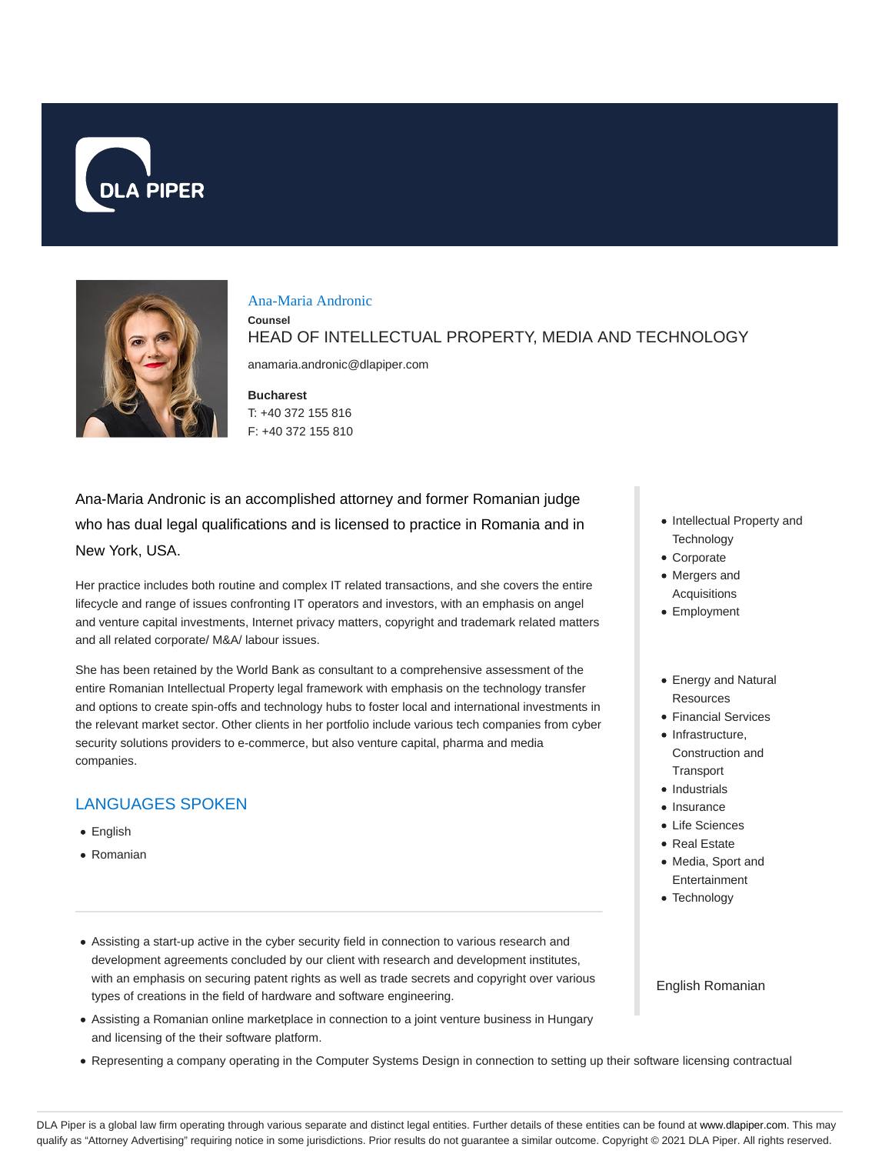



#### Ana-Maria Andronic

**Counsel**

HEAD OF INTELLECTUAL PROPERTY, MEDIA AND TECHNOLOGY

anamaria.andronic@dlapiper.com

**Bucharest** T: +40 372 155 816 F: +40 372 155 810

Ana-Maria Andronic is an accomplished attorney and former Romanian judge who has dual legal qualifications and is licensed to practice in Romania and in New York, USA.

Her practice includes both routine and complex IT related transactions, and she covers the entire lifecycle and range of issues confronting IT operators and investors, with an emphasis on angel and venture capital investments, Internet privacy matters, copyright and trademark related matters and all related corporate/ M&A/ labour issues.

She has been retained by the World Bank as consultant to a comprehensive assessment of the entire Romanian Intellectual Property legal framework with emphasis on the technology transfer and options to create spin-offs and technology hubs to foster local and international investments in the relevant market sector. Other clients in her portfolio include various tech companies from cyber security solutions providers to e-commerce, but also venture capital, pharma and media companies.

## LANGUAGES SPOKEN

- English
- Romanian
- Assisting a start-up active in the cyber security field in connection to various research and development agreements concluded by our client with research and development institutes, with an emphasis on securing patent rights as well as trade secrets and copyright over various types of creations in the field of hardware and software engineering.
- Assisting a Romanian online marketplace in connection to a joint venture business in Hungary and licensing of the their software platform.
- Representing a company operating in the Computer Systems Design in connection to setting up their software licensing contractual
- Intellectual Property and **Technology**
- Corporate
- Mergers and Acquisitions
- Employment
- Energy and Natural Resources
- Financial Services
- Infrastructure. Construction and **Transport**
- Industrials
- Insurance
- Life Sciences
- Real Estate
- Media, Sport and Entertainment
- Technology

English Romanian

DLA Piper is a global law firm operating through various separate and distinct legal entities. Further details of these entities can be found at www.dlapiper.com. This may qualify as "Attorney Advertising" requiring notice in some jurisdictions. Prior results do not guarantee a similar outcome. Copyright © 2021 DLA Piper. All rights reserved.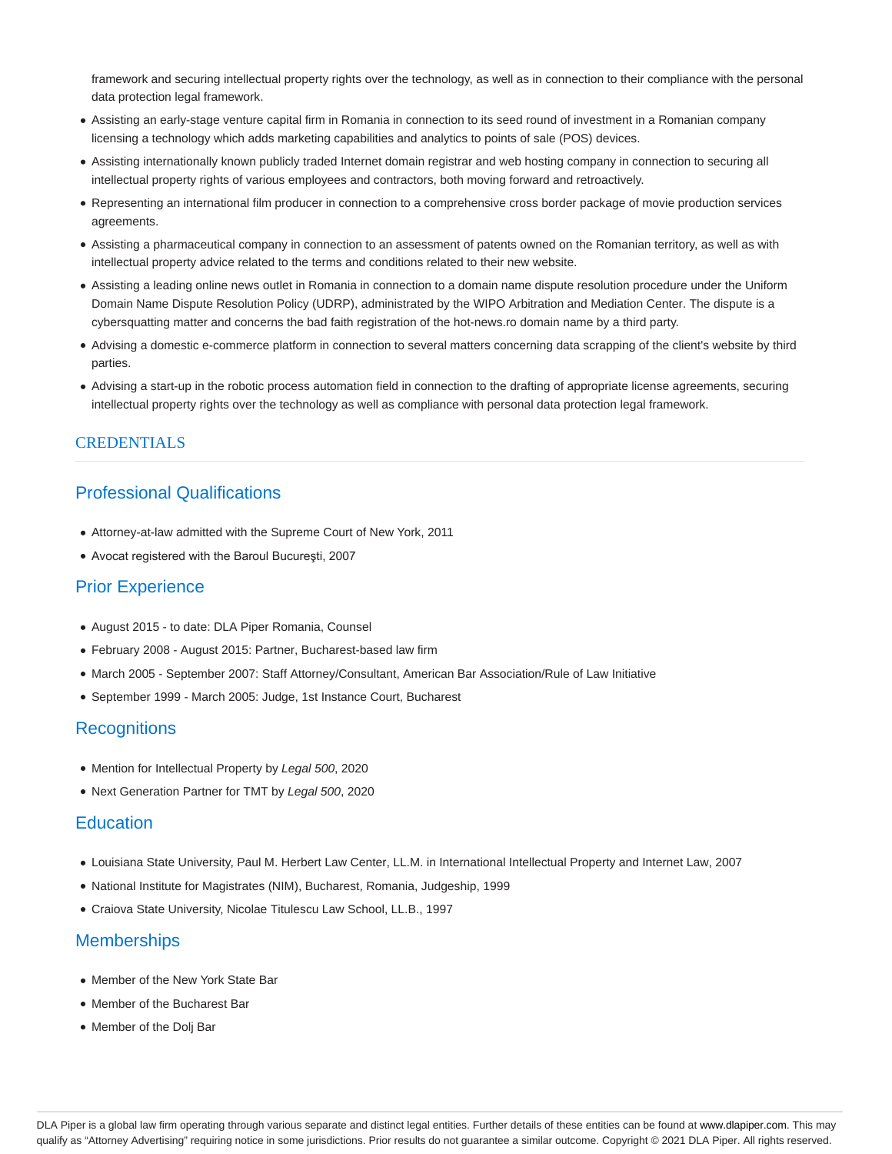framework and securing intellectual property rights over the technology, as well as in connection to their compliance with the personal data protection legal framework.

- Assisting an early-stage venture capital firm in Romania in connection to its seed round of investment in a Romanian company licensing a technology which adds marketing capabilities and analytics to points of sale (POS) devices.
- Assisting internationally known publicly traded Internet domain registrar and web hosting company in connection to securing all intellectual property rights of various employees and contractors, both moving forward and retroactively.
- Representing an international film producer in connection to a comprehensive cross border package of movie production services agreements.
- Assisting a pharmaceutical company in connection to an assessment of patents owned on the Romanian territory, as well as with intellectual property advice related to the terms and conditions related to their new website.
- Assisting a leading online news outlet in Romania in connection to a domain name dispute resolution procedure under the Uniform Domain Name Dispute Resolution Policy (UDRP), administrated by the WIPO Arbitration and Mediation Center. The dispute is a cybersquatting matter and concerns the bad faith registration of the hot-news.ro domain name by a third party.
- Advising a domestic e-commerce platform in connection to several matters concerning data scrapping of the client's website by third parties.
- Advising a start-up in the robotic process automation field in connection to the drafting of appropriate license agreements, securing intellectual property rights over the technology as well as compliance with personal data protection legal framework.

### **CREDENTIALS**

# Professional Qualifications

- Attorney-at-law admitted with the Supreme Court of New York, 2011
- Avocat registered with the Baroul Bucureşti, 2007

## Prior Experience

- August 2015 to date: DLA Piper Romania, Counsel
- February 2008 August 2015: Partner, Bucharest-based law firm
- March 2005 September 2007: Staff Attorney/Consultant, American Bar Association/Rule of Law Initiative
- September 1999 March 2005: Judge, 1st Instance Court, Bucharest

### **Recognitions**

- Mention for Intellectual Property by Legal 500, 2020
- Next Generation Partner for TMT by Legal 500, 2020

#### **Education**

- Louisiana State University, Paul M. Herbert Law Center, LL.M. in International Intellectual Property and Internet Law, 2007
- National Institute for Magistrates (NIM), Bucharest, Romania, Judgeship, 1999
- Craiova State University, Nicolae Titulescu Law School, LL.B., 1997

### **Memberships**

- Member of the New York State Bar
- Member of the Bucharest Bar
- Member of the Dolj Bar